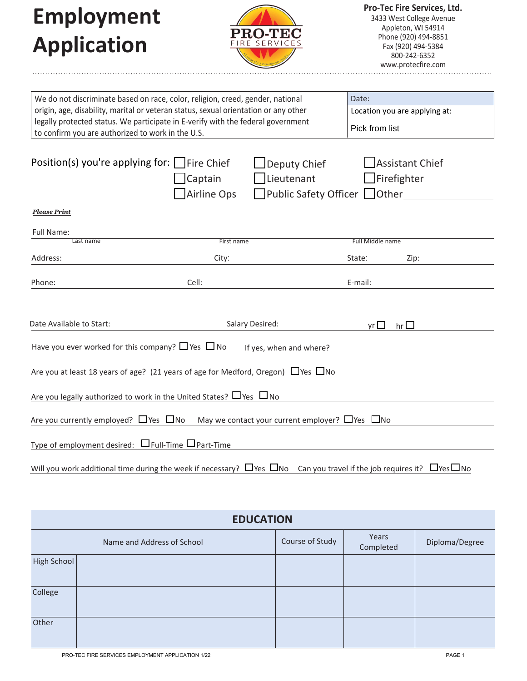**Employment Application**



**Pro-Tec Fire Services, Ltd.** 3433 West College Avenue Appleton, WI 54914 Phone (920) 494-8851 Fax (920) 494-5384 800-242-6352 www.protecfire.com

| We do not discriminate based on race, color, religion, creed, gender, national                                                               |                    |                                                            | Date:                |                               |  |
|----------------------------------------------------------------------------------------------------------------------------------------------|--------------------|------------------------------------------------------------|----------------------|-------------------------------|--|
| origin, age, disability, marital or veteran status, sexual orientation or any other                                                          |                    |                                                            |                      | Location you are applying at: |  |
| legally protected status. We participate in E-verify with the federal government                                                             |                    | Pick from list                                             |                      |                               |  |
| to confirm you are authorized to work in the U.S.                                                                                            |                    |                                                            |                      |                               |  |
|                                                                                                                                              |                    |                                                            |                      |                               |  |
| Position(s) you're applying for: $\Box$ Fire Chief                                                                                           |                    | Deputy Chief                                               |                      | <b>Assistant Chief</b>        |  |
|                                                                                                                                              | Captain            | Lieutenant                                                 | Firefighter          |                               |  |
|                                                                                                                                              | <b>Airline Ops</b> | Public Safety Officer Other                                |                      |                               |  |
|                                                                                                                                              |                    |                                                            |                      |                               |  |
| <b>Please Print</b>                                                                                                                          |                    |                                                            |                      |                               |  |
| Full Name:                                                                                                                                   |                    |                                                            |                      |                               |  |
| Last name                                                                                                                                    | First name         |                                                            | Full Middle name     |                               |  |
| Address:                                                                                                                                     | City:              |                                                            | State:               | Zip:                          |  |
|                                                                                                                                              |                    |                                                            |                      |                               |  |
| Phone:                                                                                                                                       | Cell:              |                                                            | E-mail:              |                               |  |
|                                                                                                                                              |                    |                                                            |                      |                               |  |
|                                                                                                                                              |                    |                                                            |                      |                               |  |
| Date Available to Start:                                                                                                                     |                    | Salary Desired:                                            | $\mathsf{yr}$ $\Box$ | hr $\Box$                     |  |
|                                                                                                                                              |                    |                                                            |                      |                               |  |
| Have you ever worked for this company? $\Box$ Yes $\Box$ No                                                                                  |                    | If yes, when and where?                                    |                      |                               |  |
|                                                                                                                                              |                    |                                                            |                      |                               |  |
| Are you at least 18 years of age? (21 years of age for Medford, Oregon) $\Box$ Yes $\Box$ No                                                 |                    |                                                            |                      |                               |  |
| Are you legally authorized to work in the United States? $\Box$ Yes $\Box$ No                                                                |                    |                                                            |                      |                               |  |
|                                                                                                                                              |                    |                                                            |                      |                               |  |
| Are you currently employed? $\Box$ Yes $\Box$ No                                                                                             |                    | May we contact your current employer? $\Box$ Yes $\Box$ No |                      |                               |  |
|                                                                                                                                              |                    |                                                            |                      |                               |  |
| Type of employment desired: $\Box$ Full-Time $\Box$ Part-Time                                                                                |                    |                                                            |                      |                               |  |
|                                                                                                                                              |                    |                                                            |                      |                               |  |
| Will you work additional time during the week if necessary? $\Box$ Yes $\Box$ No Can you travel if the job requires it? $\Box$ Yes $\Box$ No |                    |                                                            |                      |                               |  |

| <b>EDUCATION</b> |                            |                 |                    |                |  |  |
|------------------|----------------------------|-----------------|--------------------|----------------|--|--|
|                  | Name and Address of School | Course of Study | Years<br>Completed | Diploma/Degree |  |  |
| High School      |                            |                 |                    |                |  |  |
| College          |                            |                 |                    |                |  |  |
| Other            |                            |                 |                    |                |  |  |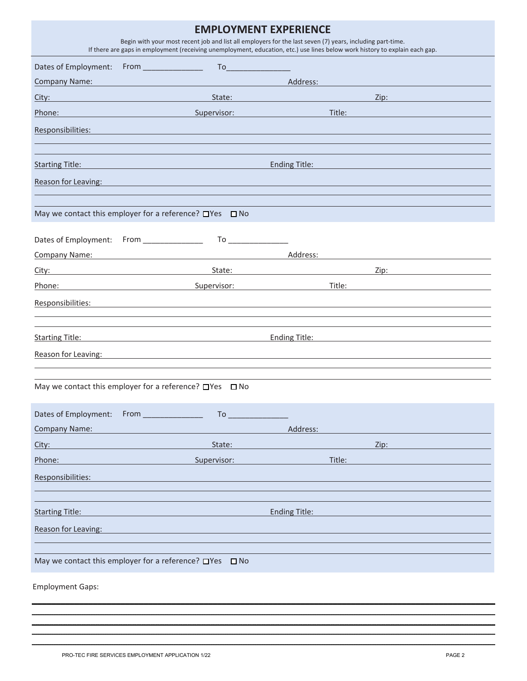| <b>EMPLOYMENT EXPERIENCE</b><br>Begin with your most recent job and list all employers for the last seven (7) years, including part-time.<br>If there are gaps in employment (receiving unemployment, education, etc.) use lines below work history to explain each gap. |                                                                                                                                                                                                                                     |                                                                                                                       |        |                                                                                                                                                                                                                                     |
|--------------------------------------------------------------------------------------------------------------------------------------------------------------------------------------------------------------------------------------------------------------------------|-------------------------------------------------------------------------------------------------------------------------------------------------------------------------------------------------------------------------------------|-----------------------------------------------------------------------------------------------------------------------|--------|-------------------------------------------------------------------------------------------------------------------------------------------------------------------------------------------------------------------------------------|
|                                                                                                                                                                                                                                                                          |                                                                                                                                                                                                                                     |                                                                                                                       |        |                                                                                                                                                                                                                                     |
| <b>Company Name:</b>                                                                                                                                                                                                                                                     | and the contract of the contract of the contract of <b>Address:</b> Address: A second the contract of the contract of                                                                                                               |                                                                                                                       |        |                                                                                                                                                                                                                                     |
| City:                                                                                                                                                                                                                                                                    | <u> 1989 - Johann Barbara, martxa amerikan personal (</u>                                                                                                                                                                           | State: <u>International Contract of the State of</u>                                                                  |        | <b>Zip:</b> The contract of the contract of the contract of the contract of the contract of the contract of the contract of the contract of the contract of the contract of the contract of the contract of the contract of the con |
|                                                                                                                                                                                                                                                                          | <b>Phone:</b> Phone: Phone: Phone: Phone: Phone: Phone: Phone: Phone: Phone: Phone: Phone: Phone: Phone: Phone: Phone: Phone: Phone: Phone: Phone: Phone: Phone: Phone: Phone: Phone: Phone: Phone: Phone: Phone: Phone: Phone: Pho |                                                                                                                       |        | <b>Title:</b> The contract of the contract of the contract of the contract of the contract of the contract of the contract of the contract of the contract of the contract of the contract of the contract of the contract of the c |
| Responsibilities:                                                                                                                                                                                                                                                        | <u> 1989 - Johann Stein, marwolaethau a bhann an t-Amhain an t-Amhain an t-Amhain an t-Amhain an t-Amhain an t-A</u>                                                                                                                |                                                                                                                       |        |                                                                                                                                                                                                                                     |
|                                                                                                                                                                                                                                                                          |                                                                                                                                                                                                                                     |                                                                                                                       |        |                                                                                                                                                                                                                                     |
|                                                                                                                                                                                                                                                                          | Starting Title: The Contract of the Contract of the Contract of the Contract of the Contract of the Contract of the Contract of the Contract of the Contract of the Contract of the Contract of the Contract of the Contract o      |                                                                                                                       |        | Ending Title: Ending Title:                                                                                                                                                                                                         |
| Reason for Leaving:                                                                                                                                                                                                                                                      |                                                                                                                                                                                                                                     | <u> 1989 - An Dùbhlachd ann an Dùbhlachd ann an Dùbhlachd ann an Dùbhlachd ann an Dùbhlachd ann an Dùbhlachd ann </u> |        |                                                                                                                                                                                                                                     |
|                                                                                                                                                                                                                                                                          |                                                                                                                                                                                                                                     |                                                                                                                       |        |                                                                                                                                                                                                                                     |
|                                                                                                                                                                                                                                                                          | May we contact this employer for a reference? $\Box$ Yes $\Box$ No                                                                                                                                                                  |                                                                                                                       |        |                                                                                                                                                                                                                                     |
|                                                                                                                                                                                                                                                                          |                                                                                                                                                                                                                                     |                                                                                                                       |        |                                                                                                                                                                                                                                     |
|                                                                                                                                                                                                                                                                          |                                                                                                                                                                                                                                     |                                                                                                                       |        | <b>Company Name:</b> Company Name: Address: Address: Address: Address: Address: Address: 2007 2008 2009 2012 2013 2014 2014 2015 2016 2017 2018 2019 2017 2017 2018 2017 2017 2018 2017 2017 2017 2017 2017 2017 2017 2018 2017 201 |
|                                                                                                                                                                                                                                                                          |                                                                                                                                                                                                                                     | State: The Commission of the Commission of the Commission of the Commission of the Commission of the Commission       |        | Zip: 2001                                                                                                                                                                                                                           |
|                                                                                                                                                                                                                                                                          | Phone: Supervisor: Supervisor:                                                                                                                                                                                                      |                                                                                                                       |        | Title: The contract of the contract of the contract of the contract of the contract of the contract of the contract of the contract of the contract of the contract of the contract of the contract of the contract of the con      |
| Responsibilities:                                                                                                                                                                                                                                                        |                                                                                                                                                                                                                                     |                                                                                                                       |        |                                                                                                                                                                                                                                     |
|                                                                                                                                                                                                                                                                          |                                                                                                                                                                                                                                     |                                                                                                                       |        |                                                                                                                                                                                                                                     |
|                                                                                                                                                                                                                                                                          | Starting Title: <u>Starting Title:</u>                                                                                                                                                                                              |                                                                                                                       |        | Ending Title: Ending Title:                                                                                                                                                                                                         |
| Reason for Leaving:                                                                                                                                                                                                                                                      |                                                                                                                                                                                                                                     |                                                                                                                       |        |                                                                                                                                                                                                                                     |
|                                                                                                                                                                                                                                                                          | May we contact this employer for a reference? $\Box$ Yes $\Box$ No                                                                                                                                                                  |                                                                                                                       |        |                                                                                                                                                                                                                                     |
| Dates of Employment: From ____________                                                                                                                                                                                                                                   | To                                                                                                                                                                                                                                  |                                                                                                                       |        |                                                                                                                                                                                                                                     |
| Company Name:                                                                                                                                                                                                                                                            |                                                                                                                                                                                                                                     | Address:                                                                                                              |        |                                                                                                                                                                                                                                     |
| City:                                                                                                                                                                                                                                                                    | State:                                                                                                                                                                                                                              |                                                                                                                       |        | Zip:                                                                                                                                                                                                                                |
| Phone:                                                                                                                                                                                                                                                                   | Supervisor:                                                                                                                                                                                                                         |                                                                                                                       | Title: |                                                                                                                                                                                                                                     |
| Responsibilities:                                                                                                                                                                                                                                                        |                                                                                                                                                                                                                                     |                                                                                                                       |        |                                                                                                                                                                                                                                     |
|                                                                                                                                                                                                                                                                          |                                                                                                                                                                                                                                     |                                                                                                                       |        |                                                                                                                                                                                                                                     |
| <b>Starting Title:</b>                                                                                                                                                                                                                                                   |                                                                                                                                                                                                                                     | <b>Ending Title:</b>                                                                                                  |        |                                                                                                                                                                                                                                     |
| Reason for Leaving:                                                                                                                                                                                                                                                      |                                                                                                                                                                                                                                     |                                                                                                                       |        |                                                                                                                                                                                                                                     |
|                                                                                                                                                                                                                                                                          |                                                                                                                                                                                                                                     |                                                                                                                       |        |                                                                                                                                                                                                                                     |
|                                                                                                                                                                                                                                                                          | May we contact this employer for a reference? $\Box$ Yes $\Box$ No                                                                                                                                                                  |                                                                                                                       |        |                                                                                                                                                                                                                                     |
| <b>Employment Gaps:</b>                                                                                                                                                                                                                                                  |                                                                                                                                                                                                                                     |                                                                                                                       |        |                                                                                                                                                                                                                                     |